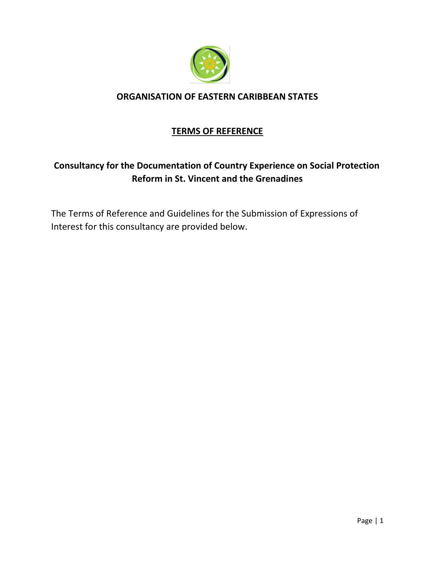

### **ORGANISATION OF EASTERN CARIBBEAN STATES**

## **TERMS OF REFERENCE**

# **Consultancy for the Documentation of Country Experience on Social Protection Reform in St. Vincent and the Grenadines**

The Terms of Reference and Guidelines for the Submission of Expressions of Interest for this consultancy are provided below.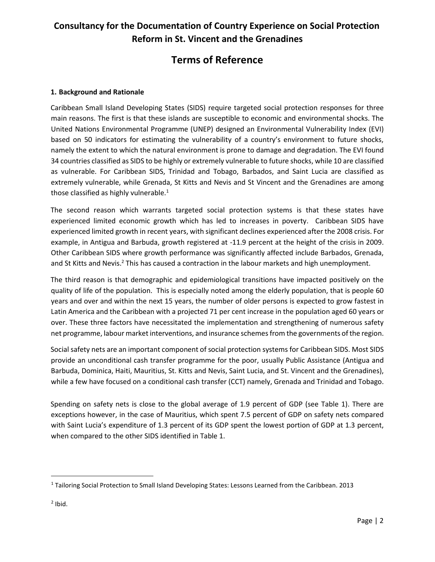# **Consultancy for the Documentation of Country Experience on Social Protection Reform in St. Vincent and the Grenadines**

# **Terms of Reference**

#### **1. Background and Rationale**

Caribbean Small Island Developing States (SIDS) require targeted social protection responses for three main reasons. The first is that these islands are susceptible to economic and environmental shocks. The United Nations Environmental Programme (UNEP) designed an Environmental Vulnerability Index (EVI) based on 50 indicators for estimating the vulnerability of a country's environment to future shocks, namely the extent to which the natural environment is prone to damage and degradation. The EVI found 34 countries classified as SIDS to be highly or extremely vulnerable to future shocks, while 10 are classified as vulnerable. For Caribbean SIDS, Trinidad and Tobago, Barbados, and Saint Lucia are classified as extremely vulnerable, while Grenada, St Kitts and Nevis and St Vincent and the Grenadines are among those classified as highly vulnerable.<sup>1</sup>

The second reason which warrants targeted social protection systems is that these states have experienced limited economic growth which has led to increases in poverty. Caribbean SIDS have experienced limited growth in recent years, with significant declines experienced after the 2008 crisis. For example, in Antigua and Barbuda, growth registered at -11.9 percent at the height of the crisis in 2009. Other Caribbean SIDS where growth performance was significantly affected include Barbados, Grenada, and St Kitts and Nevis.<sup>2</sup> This has caused a contraction in the labour markets and high unemployment.

The third reason is that demographic and epidemiological transitions have impacted positively on the quality of life of the population. This is especially noted among the elderly population, that is people 60 years and over and within the next 15 years, the number of older persons is expected to grow fastest in Latin America and the Caribbean with a projected 71 per cent increase in the population aged 60 years or over. These three factors have necessitated the implementation and strengthening of numerous safety net programme, labour market interventions, and insurance schemes from the governments of the region.

Social safety nets are an important component of social protection systems for Caribbean SIDS. Most SIDS provide an unconditional cash transfer programme for the poor, usually Public Assistance (Antigua and Barbuda, Dominica, Haiti, Mauritius, St. Kitts and Nevis, Saint Lucia, and St. Vincent and the Grenadines), while a few have focused on a conditional cash transfer (CCT) namely, Grenada and Trinidad and Tobago.

Spending on safety nets is close to the global average of 1.9 percent of GDP (see Table 1). There are exceptions however, in the case of Mauritius, which spent 7.5 percent of GDP on safety nets compared with Saint Lucia's expenditure of 1.3 percent of its GDP spent the lowest portion of GDP at 1.3 percent, when compared to the other SIDS identified in Table 1.

 $\overline{\phantom{a}}$ 

<sup>1</sup> Tailoring Social Protection to Small Island Developing States: Lessons Learned from the Caribbean. 2013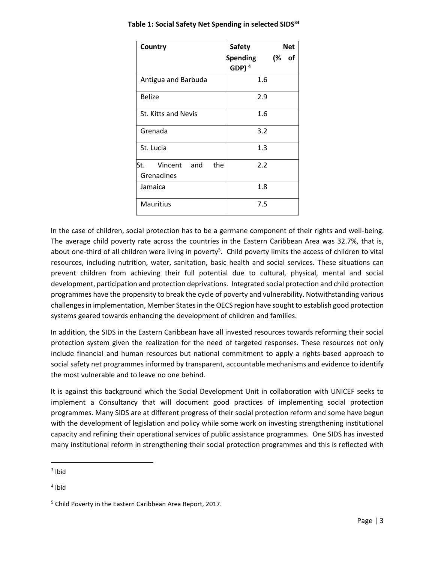| <b>Country</b>                           | <b>Safety</b>         | <b>Net</b> |  |
|------------------------------------------|-----------------------|------------|--|
|                                          | Spending<br>GDP $)^4$ | (%<br>of   |  |
| Antigua and Barbuda                      | 1.6                   |            |  |
| <b>Belize</b>                            | 2.9                   |            |  |
| St. Kitts and Nevis                      | 1.6                   |            |  |
| Grenada                                  | 3.2                   |            |  |
| St. Lucia                                | 1.3                   |            |  |
| lSt.<br>Vincent and<br>the<br>Grenadines | 2.2                   |            |  |
| Jamaica                                  | 1.8                   |            |  |
| <b>Mauritius</b>                         | 7.5                   |            |  |

**Table 1: Social Safety Net Spending in selected SIDS<sup>34</sup>**

In the case of children, social protection has to be a germane component of their rights and well-being. The average child poverty rate across the countries in the Eastern Caribbean Area was 32.7%, that is, about one-third of all children were living in poverty<sup>5</sup>. Child poverty limits the access of children to vital resources, including nutrition, water, sanitation, basic health and social services. These situations can prevent children from achieving their full potential due to cultural, physical, mental and social development, participation and protection deprivations. Integrated social protection and child protection programmes have the propensity to break the cycle of poverty and vulnerability. Notwithstanding various challenges in implementation, Member States in the OECS region have sought to establish good protection systems geared towards enhancing the development of children and families.

In addition, the SIDS in the Eastern Caribbean have all invested resources towards reforming their social protection system given the realization for the need of targeted responses. These resources not only include financial and human resources but national commitment to apply a rights-based approach to social safety net programmes informed by transparent, accountable mechanisms and evidence to identify the most vulnerable and to leave no one behind.

It is against this background which the Social Development Unit in collaboration with UNICEF seeks to implement a Consultancy that will document good practices of implementing social protection programmes. Many SIDS are at different progress of their social protection reform and some have begun with the development of legislation and policy while some work on investing strengthening institutional capacity and refining their operational services of public assistance programmes. One SIDS has invested many institutional reform in strengthening their social protection programmes and this is reflected with

 $\overline{\phantom{a}}$ 

 $3$  Ibid

<sup>4</sup> Ibid

<sup>5</sup> Child Poverty in the Eastern Caribbean Area Report, 2017.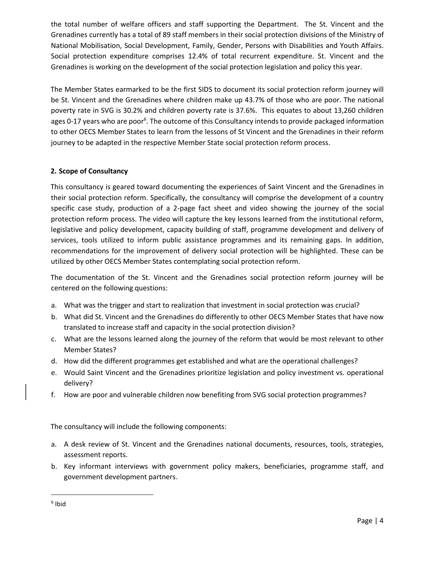the total number of welfare officers and staff supporting the Department. The St. Vincent and the Grenadines currently has a total of 89 staff members in their social protection divisions of the Ministry of National Mobilisation, Social Development, Family, Gender, Persons with Disabilities and Youth Affairs. Social protection expenditure comprises 12.4% of total recurrent expenditure. St. Vincent and the Grenadines is working on the development of the social protection legislation and policy this year.

The Member States earmarked to be the first SIDS to document its social protection reform journey will be St. Vincent and the Grenadines where children make up 43.7% of those who are poor. The national poverty rate in SVG is 30.2% and children poverty rate is 37.6%. This equates to about 13,260 children ages 0-17 years who are poor<sup>6</sup>. The outcome of this Consultancy intends to provide packaged information to other OECS Member States to learn from the lessons of St Vincent and the Grenadines in their reform journey to be adapted in the respective Member State social protection reform process.

### **2. Scope of Consultancy**

This consultancy is geared toward documenting the experiences of Saint Vincent and the Grenadines in their social protection reform. Specifically, the consultancy will comprise the development of a country specific case study, production of a 2-page fact sheet and video showing the journey of the social protection reform process. The video will capture the key lessons learned from the institutional reform, legislative and policy development, capacity building of staff, programme development and delivery of services, tools utilized to inform public assistance programmes and its remaining gaps. In addition, recommendations for the improvement of delivery social protection will be highlighted. These can be utilized by other OECS Member States contemplating social protection reform.

The documentation of the St. Vincent and the Grenadines social protection reform journey will be centered on the following questions:

- a. What was the trigger and start to realization that investment in social protection was crucial?
- b. What did St. Vincent and the Grenadines do differently to other OECS Member States that have now translated to increase staff and capacity in the social protection division?
- c. What are the lessons learned along the journey of the reform that would be most relevant to other Member States?
- d. How did the different programmes get established and what are the operational challenges?
- e. Would Saint Vincent and the Grenadines prioritize legislation and policy investment vs. operational delivery?
- f. How are poor and vulnerable children now benefiting from SVG social protection programmes?

The consultancy will include the following components:

- a. A desk review of St. Vincent and the Grenadines national documents, resources, tools, strategies, assessment reports.
- b. Key informant interviews with government policy makers, beneficiaries, programme staff, and government development partners.

 $\overline{a}$ 

<sup>6</sup> Ibid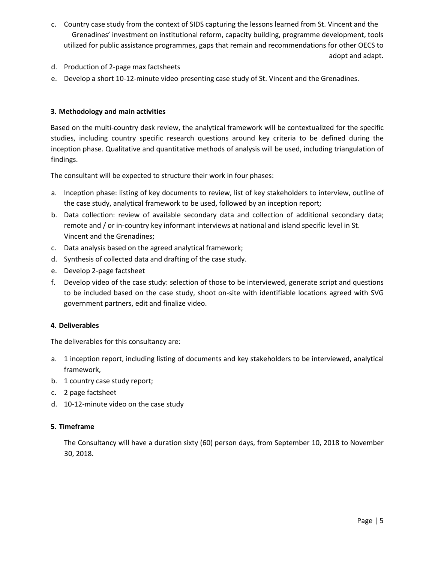- c. Country case study from the context of SIDS capturing the lessons learned from St. Vincent and the Grenadines' investment on institutional reform, capacity building, programme development, tools utilized for public assistance programmes, gaps that remain and recommendations for other OECS to adopt and adapt.
- d. Production of 2-page max factsheets
- e. Develop a short 10-12-minute video presenting case study of St. Vincent and the Grenadines.

#### **3. Methodology and main activities**

Based on the multi-country desk review, the analytical framework will be contextualized for the specific studies, including country specific research questions around key criteria to be defined during the inception phase. Qualitative and quantitative methods of analysis will be used, including triangulation of findings.

The consultant will be expected to structure their work in four phases:

- a. Inception phase: listing of key documents to review, list of key stakeholders to interview, outline of the case study, analytical framework to be used, followed by an inception report;
- b. Data collection: review of available secondary data and collection of additional secondary data; remote and / or in-country key informant interviews at national and island specific level in St. Vincent and the Grenadines;
- c. Data analysis based on the agreed analytical framework;
- d. Synthesis of collected data and drafting of the case study.
- e. Develop 2-page factsheet
- f. Develop video of the case study: selection of those to be interviewed, generate script and questions to be included based on the case study, shoot on-site with identifiable locations agreed with SVG government partners, edit and finalize video.

#### **4. Deliverables**

The deliverables for this consultancy are:

- a. 1 inception report, including listing of documents and key stakeholders to be interviewed, analytical framework,
- b. 1 country case study report;
- c. 2 page factsheet
- d. 10-12-minute video on the case study

#### **5. Timeframe**

The Consultancy will have a duration sixty (60) person days, from September 10, 2018 to November 30, 2018.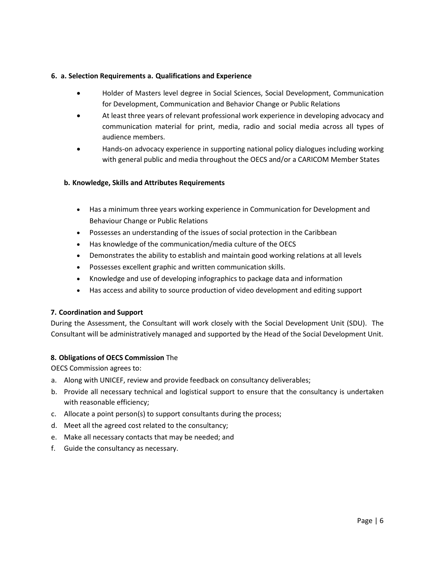#### **6. a. Selection Requirements a. Qualifications and Experience**

- Holder of Masters level degree in Social Sciences, Social Development, Communication for Development, Communication and Behavior Change or Public Relations
- At least three years of relevant professional work experience in developing advocacy and communication material for print, media, radio and social media across all types of audience members.
- Hands-on advocacy experience in supporting national policy dialogues including working with general public and media throughout the OECS and/or a CARICOM Member States

#### **b. Knowledge, Skills and Attributes Requirements**

- Has a minimum three years working experience in Communication for Development and Behaviour Change or Public Relations
- Possesses an understanding of the issues of social protection in the Caribbean
- Has knowledge of the communication/media culture of the OECS
- Demonstrates the ability to establish and maintain good working relations at all levels
- Possesses excellent graphic and written communication skills.
- Knowledge and use of developing infographics to package data and information
- Has access and ability to source production of video development and editing support

#### **7. Coordination and Support**

During the Assessment, the Consultant will work closely with the Social Development Unit (SDU). The Consultant will be administratively managed and supported by the Head of the Social Development Unit.

#### **8. Obligations of OECS Commission** The

OECS Commission agrees to:

- a. Along with UNICEF, review and provide feedback on consultancy deliverables;
- b. Provide all necessary technical and logistical support to ensure that the consultancy is undertaken with reasonable efficiency;
- c. Allocate a point person(s) to support consultants during the process;
- d. Meet all the agreed cost related to the consultancy;
- e. Make all necessary contacts that may be needed; and
- f. Guide the consultancy as necessary.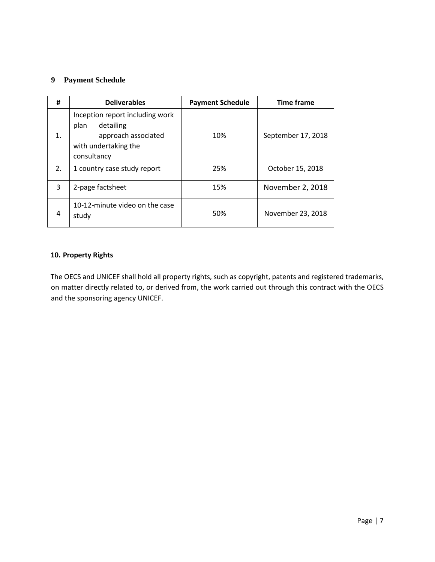### **9 Payment Schedule**

| #              | <b>Deliverables</b>                                                                                                | <b>Payment Schedule</b> | <b>Time frame</b>  |
|----------------|--------------------------------------------------------------------------------------------------------------------|-------------------------|--------------------|
| $\mathbf{1}$ . | Inception report including work<br>detailing<br>plan<br>approach associated<br>with undertaking the<br>consultancy | 10%                     | September 17, 2018 |
| 2.             | 1 country case study report                                                                                        | 25%                     | October 15, 2018   |
| 3              | 2-page factsheet                                                                                                   | 15%                     | November 2, 2018   |
| 4              | 10-12-minute video on the case<br>study                                                                            | 50%                     | November 23, 2018  |

#### **10. Property Rights**

The OECS and UNICEF shall hold all property rights, such as copyright, patents and registered trademarks, on matter directly related to, or derived from, the work carried out through this contract with the OECS and the sponsoring agency UNICEF.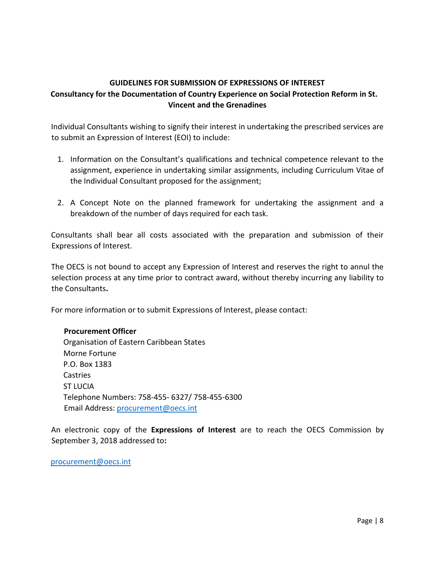### **GUIDELINES FOR SUBMISSION OF EXPRESSIONS OF INTEREST Consultancy for the Documentation of Country Experience on Social Protection Reform in St. Vincent and the Grenadines**

Individual Consultants wishing to signify their interest in undertaking the prescribed services are to submit an Expression of Interest (EOI) to include:

- 1. Information on the Consultant's qualifications and technical competence relevant to the assignment, experience in undertaking similar assignments, including Curriculum Vitae of the Individual Consultant proposed for the assignment;
- 2. A Concept Note on the planned framework for undertaking the assignment and a breakdown of the number of days required for each task.

Consultants shall bear all costs associated with the preparation and submission of their Expressions of Interest.

The OECS is not bound to accept any Expression of Interest and reserves the right to annul the selection process at any time prior to contract award, without thereby incurring any liability to the Consultants**.** 

For more information or to submit Expressions of Interest, please contact:

### **Procurement Officer**

Organisation of Eastern Caribbean States Morne Fortune P.O. Box 1383 Castries ST LUCIA Telephone Numbers: 758-455- 6327/ 758-455-6300 Email Address: procurement@oecs.int

An electronic copy of the **Expressions of Interest** are to reach the OECS Commission by September 3, 2018 addressed to**:** 

procurement@oecs.int